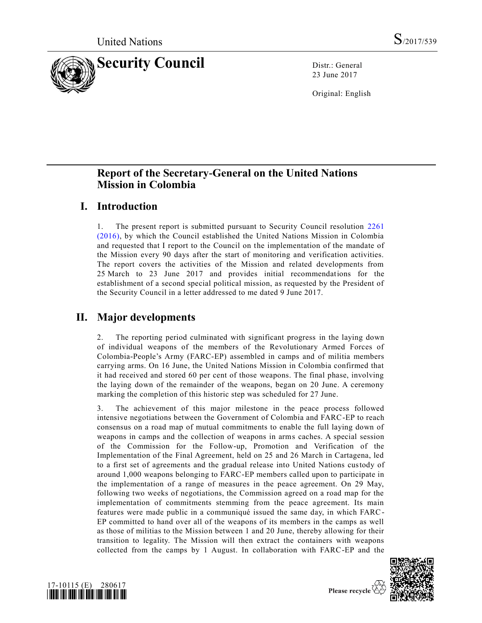

23 June 2017

Original: English

# **Report of the Secretary-General on the United Nations Mission in Colombia**

# **I. Introduction**

1. The present report is submitted pursuant to Security Council resolution [2261](https://undocs.org/S/RES/2261(2016))  [\(2016\),](https://undocs.org/S/RES/2261(2016)) by which the Council established the United Nations Mission in Colombia and requested that I report to the Council on the implementation of the mandate of the Mission every 90 days after the start of monitoring and verification activities. The report covers the activities of the Mission and related developments from 25 March to 23 June 2017 and provides initial recommendations for the establishment of a second special political mission, as requested by the President of the Security Council in a letter addressed to me dated 9 June 2017.

# **II. Major developments**

2. The reporting period culminated with significant progress in the laying down of individual weapons of the members of the Revolutionary Armed Forces of Colombia-People's Army (FARC-EP) assembled in camps and of militia members carrying arms. On 16 June, the United Nations Mission in Colombia confirmed that it had received and stored 60 per cent of those weapons. The final phase, involving the laying down of the remainder of the weapons, began on 20 June. A ceremony marking the completion of this historic step was scheduled for 27 June.

3. The achievement of this major milestone in the peace process followed intensive negotiations between the Government of Colombia and FARC-EP to reach consensus on a road map of mutual commitments to enable the full laying down of weapons in camps and the collection of weapons in arms caches. A special session of the Commission for the Follow-up, Promotion and Verification of the Implementation of the Final Agreement, held on 25 and 26 March in Cartagena, led to a first set of agreements and the gradual release into United Nations custody of around 1,000 weapons belonging to FARC-EP members called upon to participate in the implementation of a range of measures in the peace agreement. On 29 May, following two weeks of negotiations, the Commission agreed on a road map for the implementation of commitments stemming from the peace agreement. Its main features were made public in a communiqué issued the same day, in which FARC-EP committed to hand over all of the weapons of its members in the camps as well as those of militias to the Mission between 1 and 20 June, thereby allowing for their transition to legality. The Mission will then extract the containers with weapons collected from the camps by 1 August. In collaboration with FARC-EP and the

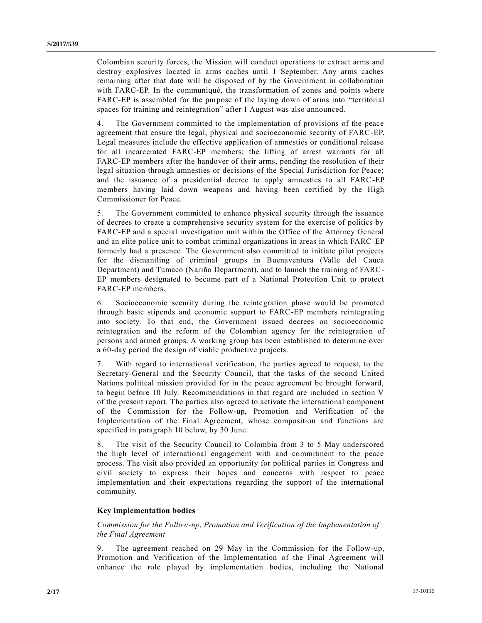Colombian security forces, the Mission will conduct operations to extract arms and destroy explosives located in arms caches until 1 September. Any arms caches remaining after that date will be disposed of by the Government in collaboration with FARC-EP. In the communiqué, the transformation of zones and points where FARC-EP is assembled for the purpose of the laying down of arms into "territorial spaces for training and reintegration" after 1 August was also announced.

4. The Government committed to the implementation of provisions of the peace agreement that ensure the legal, physical and socioeconomic security of FARC-EP. Legal measures include the effective application of amnesties or conditional release for all incarcerated FARC-EP members; the lifting of arrest warrants for all FARC-EP members after the handover of their arms, pending the resolution of their legal situation through amnesties or decisions of the Special Jurisdiction for Peace; and the issuance of a presidential decree to apply amnesties to all FARC-EP members having laid down weapons and having been certified by the High Commissioner for Peace.

5. The Government committed to enhance physical security through the issuance of decrees to create a comprehensive security system for the exercise of politics by FARC-EP and a special investigation unit within the Office of the Attorney General and an elite police unit to combat criminal organizations in areas in which FARC-EP formerly had a presence. The Government also committed to initiate pilot projects for the dismantling of criminal groups in Buenaventura (Valle del Cauca Department) and Tumaco (Nariño Department), and to launch the training of FARC-EP members designated to become part of a National Protection Unit to protect FARC-EP members.

6. Socioeconomic security during the reintegration phase would be promoted through basic stipends and economic support to FARC-EP members reintegrating into society. To that end, the Government issued decrees on socioeconomic reintegration and the reform of the Colombian agency for the reintegration of persons and armed groups. A working group has been established to determine over a 60-day period the design of viable productive projects.

7. With regard to international verification, the parties agreed to request, to the Secretary-General and the Security Council, that the tasks of the second United Nations political mission provided for in the peace agreement be brought forward, to begin before 10 July. Recommendations in that regard are included in section V of the present report. The parties also agreed to activate the international component of the Commission for the Follow-up, Promotion and Verification of the Implementation of the Final Agreement, whose composition and functions are specified in paragraph 10 below, by 30 June.

8. The visit of the Security Council to Colombia from 3 to 5 May underscored the high level of international engagement with and commitment to the peace process. The visit also provided an opportunity for political parties in Congress and civil society to express their hopes and concerns with respect to peace implementation and their expectations regarding the support of the international community.

#### **Key implementation bodies**

## *Commission for the Follow-up, Promotion and Verification of the Implementation of the Final Agreement*

9. The agreement reached on 29 May in the Commission for the Follow-up, Promotion and Verification of the Implementation of the Final Agreement will enhance the role played by implementation bodies, including the National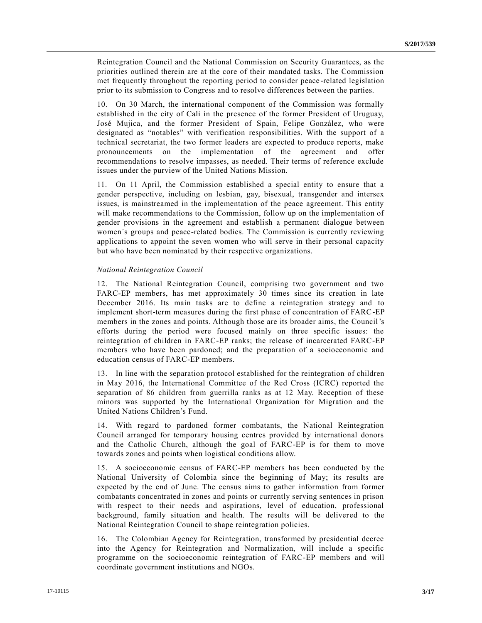Reintegration Council and the National Commission on Security Guarantees, as the priorities outlined therein are at the core of their mandated tasks. The Commission met frequently throughout the reporting period to consider peace -related legislation prior to its submission to Congress and to resolve differences between the parties.

10. On 30 March, the international component of the Commission was formally established in the city of Cali in the presence of the former President of Uruguay, José Mujica, and the former President of Spain, Felipe González, who were designated as "notables" with verification responsibilities. With the support of a technical secretariat, the two former leaders are expected to produce reports, make pronouncements on the implementation of the agreement and offer recommendations to resolve impasses, as needed. Their terms of reference exclude issues under the purview of the United Nations Mission.

11. On 11 April, the Commission established a special entity to ensure that a gender perspective, including on lesbian, gay, bisexual, transgender and intersex issues, is mainstreamed in the implementation of the peace agreement. This entity will make recommendations to the Commission, follow up on the implementation of gender provisions in the agreement and establish a permanent dialogue between women´s groups and peace-related bodies. The Commission is currently reviewing applications to appoint the seven women who will serve in their personal capacity but who have been nominated by their respective organizations.

#### *National Reintegration Council*

12. The National Reintegration Council, comprising two government and two FARC-EP members, has met approximately 30 times since its creation in late December 2016. Its main tasks are to define a reintegration strategy and to implement short-term measures during the first phase of concentration of FARC-EP members in the zones and points. Although those are its broader aims, the Council's efforts during the period were focused mainly on three specific issues: the reintegration of children in FARC-EP ranks; the release of incarcerated FARC-EP members who have been pardoned; and the preparation of a socioeconomic and education census of FARC-EP members.

13. In line with the separation protocol established for the reintegration of children in May 2016, the International Committee of the Red Cross (ICRC) reported the separation of 86 children from guerrilla ranks as at 12 May. Reception of these minors was supported by the International Organization for Migration and the United Nations Children's Fund.

14. With regard to pardoned former combatants, the National Reintegration Council arranged for temporary housing centres provided by international donors and the Catholic Church, although the goal of FARC-EP is for them to move towards zones and points when logistical conditions allow.

15. A socioeconomic census of FARC-EP members has been conducted by the National University of Colombia since the beginning of May; its results are expected by the end of June. The census aims to gather information from former combatants concentrated in zones and points or currently serving sentences in prison with respect to their needs and aspirations, level of education, professional background, family situation and health. The results will be delivered to the National Reintegration Council to shape reintegration policies.

16. The Colombian Agency for Reintegration, transformed by presidential decree into the Agency for Reintegration and Normalization, will include a specific programme on the socioeconomic reintegration of FARC-EP members and will coordinate government institutions and NGOs.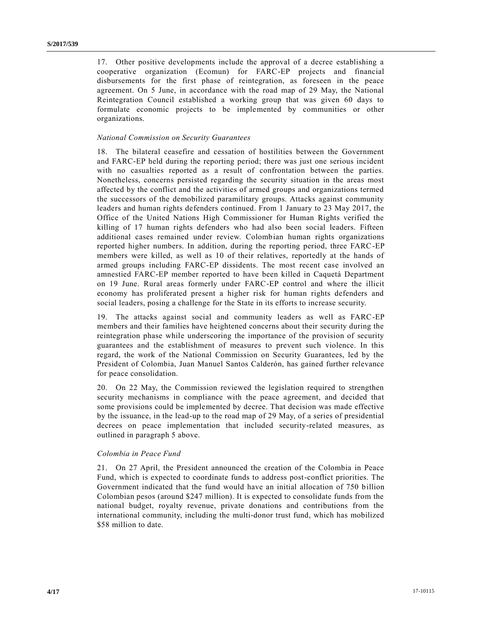17. Other positive developments include the approval of a decree establishing a cooperative organization (Ecomun) for FARC-EP projects and financial disbursements for the first phase of reintegration, as foreseen in the peace agreement. On 5 June, in accordance with the road map of 29 May, the National Reintegration Council established a working group that was given 60 days to formulate economic projects to be implemented by communities or other organizations.

#### *National Commission on Security Guarantees*

18. The bilateral ceasefire and cessation of hostilities between the Government and FARC-EP held during the reporting period; there was just one serious incident with no casualties reported as a result of confrontation between the parties. Nonetheless, concerns persisted regarding the security situation in the areas most affected by the conflict and the activities of armed groups and organizations termed the successors of the demobilized paramilitary groups. Attacks against community leaders and human rights defenders continued. From 1 January to 23 May 2017, the Office of the United Nations High Commissioner for Human Rights verified the killing of 17 human rights defenders who had also been social leaders. Fifteen additional cases remained under review. Colombian human rights organizations reported higher numbers. In addition, during the reporting period, three FARC-EP members were killed, as well as 10 of their relatives, reportedly at the hands of armed groups including FARC-EP dissidents. The most recent case involved an amnestied FARC-EP member reported to have been killed in Caquetá Department on 19 June. Rural areas formerly under FARC-EP control and where the illicit economy has proliferated present a higher risk for human rights defenders and social leaders, posing a challenge for the State in its efforts to increase security.

19. The attacks against social and community leaders as well as FARC-EP members and their families have heightened concerns about their security during the reintegration phase while underscoring the importance of the provision of security guarantees and the establishment of measures to prevent such violence. In this regard, the work of the National Commission on Security Guarantees, led by the President of Colombia, Juan Manuel Santos Calderón, has gained further relevance for peace consolidation.

20. On 22 May, the Commission reviewed the legislation required to strengthen security mechanisms in compliance with the peace agreement, and decided that some provisions could be implemented by decree. That decision was made effective by the issuance, in the lead-up to the road map of 29 May, of a series of presidential decrees on peace implementation that included security-related measures, as outlined in paragraph 5 above.

## *Colombia in Peace Fund*

21. On 27 April, the President announced the creation of the Colombia in Peace Fund, which is expected to coordinate funds to address post-conflict priorities. The Government indicated that the fund would have an initial allocation of 750 billion Colombian pesos (around \$247 million). It is expected to consolidate funds from the national budget, royalty revenue, private donations and contributions from the international community, including the multi-donor trust fund, which has mobilized \$58 million to date.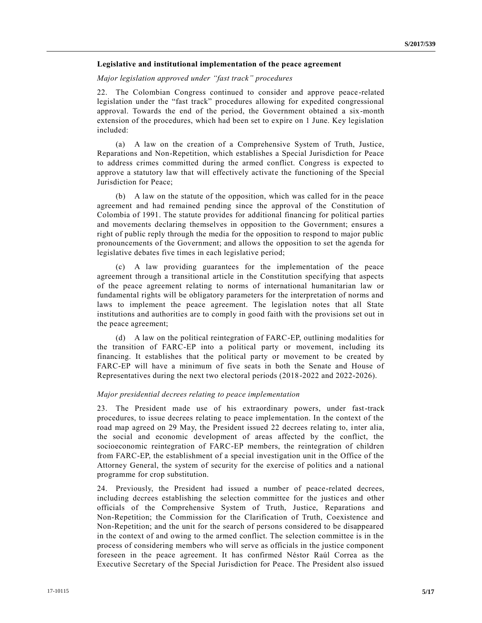#### **Legislative and institutional implementation of the peace agreement**

*Major legislation approved under "fast track" procedures*

22. The Colombian Congress continued to consider and approve peace-related legislation under the "fast track" procedures allowing for expedited congressional approval. Towards the end of the period, the Government obtained a six-month extension of the procedures, which had been set to expire on 1 June. Key legislation included:

(a) A law on the creation of a Comprehensive System of Truth, Justice, Reparations and Non-Repetition, which establishes a Special Jurisdiction for Peace to address crimes committed during the armed conflict. Congress is expected to approve a statutory law that will effectively activate the functioning of the Special Jurisdiction for Peace;

(b) A law on the statute of the opposition, which was called for in the peace agreement and had remained pending since the approval of the Constitution of Colombia of 1991. The statute provides for additional financing for political parties and movements declaring themselves in opposition to the Government; ensures a right of public reply through the media for the opposition to respond to major public pronouncements of the Government; and allows the opposition to set the agenda for legislative debates five times in each legislative period;

(c) A law providing guarantees for the implementation of the peace agreement through a transitional article in the Constitution specifying that aspects of the peace agreement relating to norms of international humanitarian law or fundamental rights will be obligatory parameters for the interpretation of norms and laws to implement the peace agreement. The legislation notes that all State institutions and authorities are to comply in good faith with the provisions set out in the peace agreement;

(d) A law on the political reintegration of FARC-EP, outlining modalities for the transition of FARC-EP into a political party or movement, including its financing. It establishes that the political party or movement to be created by FARC-EP will have a minimum of five seats in both the Senate and House of Representatives during the next two electoral periods (2018-2022 and 2022-2026).

#### *Major presidential decrees relating to peace implementation*

23. The President made use of his extraordinary powers, under fast-track procedures, to issue decrees relating to peace implementation. In the context of the road map agreed on 29 May, the President issued 22 decrees relating to, inter alia, the social and economic development of areas affected by the conflict, the socioeconomic reintegration of FARC-EP members, the reintegration of children from FARC-EP, the establishment of a special investigation unit in the Office of the Attorney General, the system of security for the exercise of politics and a national programme for crop substitution.

24. Previously, the President had issued a number of peace-related decrees, including decrees establishing the selection committee for the justices and other officials of the Comprehensive System of Truth, Justice, Reparations and Non-Repetition; the Commission for the Clarification of Truth, Coexistence and Non-Repetition; and the unit for the search of persons considered to be disappeared in the context of and owing to the armed conflict. The selection committee is in the process of considering members who will serve as officials in the justice component foreseen in the peace agreement. It has confirmed Néstor Raúl Correa as the Executive Secretary of the Special Jurisdiction for Peace. The President also issued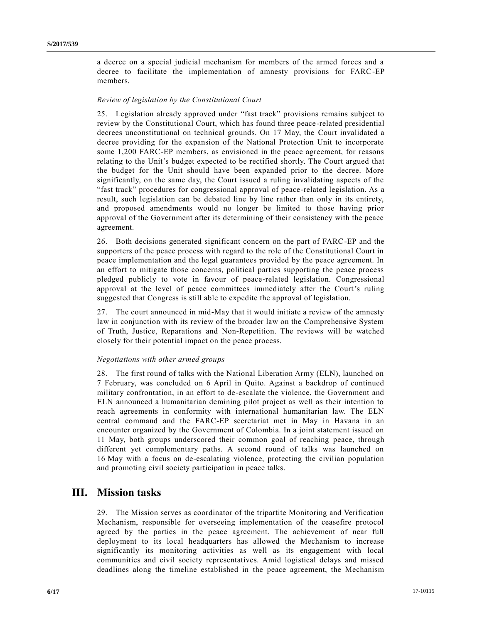a decree on a special judicial mechanism for members of the armed forces and a decree to facilitate the implementation of amnesty provisions for FARC-EP members.

## *Review of legislation by the Constitutional Court*

25. Legislation already approved under "fast track" provisions remains subject to review by the Constitutional Court, which has found three peace -related presidential decrees unconstitutional on technical grounds. On 17 May, the Court invalidated a decree providing for the expansion of the National Protection Unit to incorporate some 1,200 FARC-EP members, as envisioned in the peace agreement, for reasons relating to the Unit's budget expected to be rectified shortly. The Court argued that the budget for the Unit should have been expanded prior to the decree. More significantly, on the same day, the Court issued a ruling invalidating aspects of the "fast track" procedures for congressional approval of peace-related legislation. As a result, such legislation can be debated line by line rather than only in its entirety, and proposed amendments would no longer be limited to those having prior approval of the Government after its determining of their consistency with the peace agreement.

26. Both decisions generated significant concern on the part of FARC-EP and the supporters of the peace process with regard to the role of the Constitutional Court in peace implementation and the legal guarantees provided by the peace agreement. In an effort to mitigate those concerns, political parties supporting the peace process pledged publicly to vote in favour of peace-related legislation. Congressional approval at the level of peace committees immediately after the Court's ruling suggested that Congress is still able to expedite the approval of legislation.

27. The court announced in mid-May that it would initiate a review of the amnesty law in conjunction with its review of the broader law on the Comprehensive System of Truth, Justice, Reparations and Non-Repetition. The reviews will be watched closely for their potential impact on the peace process.

### *Negotiations with other armed groups*

28. The first round of talks with the National Liberation Army (ELN), launched on 7 February, was concluded on 6 April in Quito. Against a backdrop of continued military confrontation, in an effort to de-escalate the violence, the Government and ELN announced a humanitarian demining pilot project as well as their intention to reach agreements in conformity with international humanitarian law. The ELN central command and the FARC-EP secretariat met in May in Havana in an encounter organized by the Government of Colombia. In a joint statement issued on 11 May, both groups underscored their common goal of reaching peace, through different yet complementary paths. A second round of talks was launched on 16 May with a focus on de-escalating violence, protecting the civilian population and promoting civil society participation in peace talks.

# **III. Mission tasks**

29. The Mission serves as coordinator of the tripartite Monitoring and Verification Mechanism, responsible for overseeing implementation of the ceasefire protocol agreed by the parties in the peace agreement. The achievement of near full deployment to its local headquarters has allowed the Mechanism to increase significantly its monitoring activities as well as its engagement with local communities and civil society representatives. Amid logistical delays and missed deadlines along the timeline established in the peace agreement, the Mechanism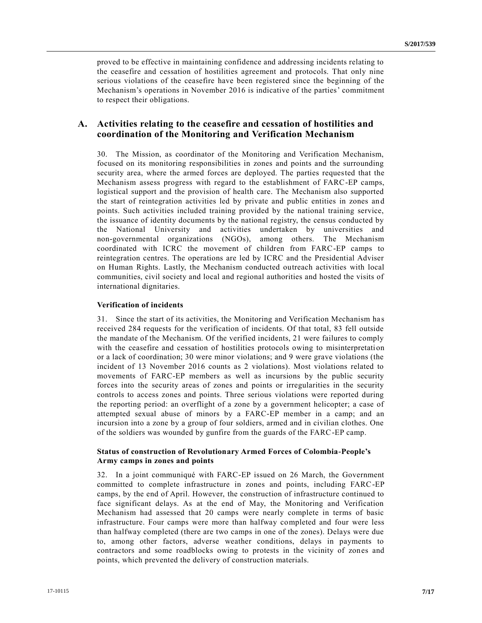proved to be effective in maintaining confidence and addressing incidents relating to the ceasefire and cessation of hostilities agreement and protocols. That only nine serious violations of the ceasefire have been registered since the beginning of the Mechanism's operations in November 2016 is indicative of the parties' commitment to respect their obligations.

## **A. Activities relating to the ceasefire and cessation of hostilities and coordination of the Monitoring and Verification Mechanism**

30. The Mission, as coordinator of the Monitoring and Verification Mechanism, focused on its monitoring responsibilities in zones and points and the surrounding security area, where the armed forces are deployed. The parties requested that the Mechanism assess progress with regard to the establishment of FARC-EP camps, logistical support and the provision of health care. The Mechanism also supported the start of reintegration activities led by private and public entities in zones an d points. Such activities included training provided by the national training service, the issuance of identity documents by the national registry, the census conducted by the National University and activities undertaken by universities and non-governmental organizations (NGOs), among others. The Mechanism coordinated with ICRC the movement of children from FARC-EP camps to reintegration centres. The operations are led by ICRC and the Presidential Adviser on Human Rights. Lastly, the Mechanism conducted outreach activities with local communities, civil society and local and regional authorities and hosted the visits of international dignitaries.

### **Verification of incidents**

31. Since the start of its activities, the Monitoring and Verification Mechanism ha s received 284 requests for the verification of incidents. Of that total, 83 fell outside the mandate of the Mechanism. Of the verified incidents, 21 were failures to comply with the ceasefire and cessation of hostilities protocols owing to misinterpretation or a lack of coordination; 30 were minor violations; and 9 were grave violations (the incident of 13 November 2016 counts as 2 violations). Most violations related to movements of FARC-EP members as well as incursions by the public security forces into the security areas of zones and points or irregularities in the security controls to access zones and points. Three serious violations were reported during the reporting period: an overflight of a zone by a government helicopter; a case of attempted sexual abuse of minors by a FARC-EP member in a camp; and an incursion into a zone by a group of four soldiers, armed and in civilian clothes. One of the soldiers was wounded by gunfire from the guards of the FARC-EP camp.

### **Status of construction of Revolutionary Armed Forces of Colombia-People's Army camps in zones and points**

32. In a joint communiqué with FARC-EP issued on 26 March, the Government committed to complete infrastructure in zones and points, including FARC-EP camps, by the end of April. However, the construction of infrastructure continued to face significant delays. As at the end of May, the Monitoring and Verification Mechanism had assessed that 20 camps were nearly complete in terms of basic infrastructure. Four camps were more than halfway completed and four were less than halfway completed (there are two camps in one of the zones). Delays were due to, among other factors, adverse weather conditions, delays in payments to contractors and some roadblocks owing to protests in the vicinity of zones and points, which prevented the delivery of construction materials.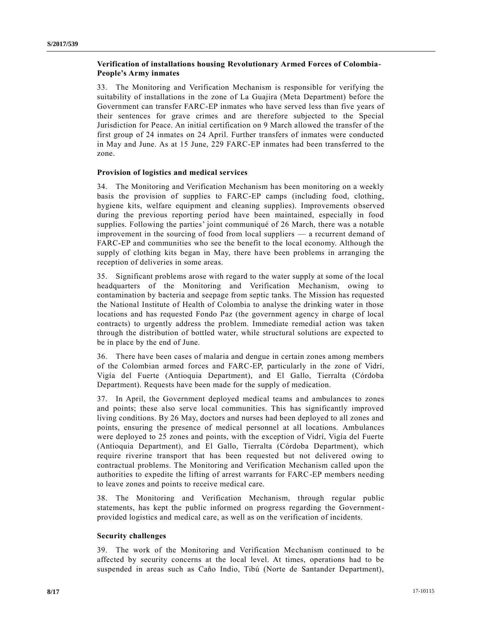## **Verification of installations housing Revolutionary Armed Forces of Colombia-People's Army inmates**

33. The Monitoring and Verification Mechanism is responsible for verifying the suitability of installations in the zone of La Guajira (Meta Department) before the Government can transfer FARC-EP inmates who have served less than five years of their sentences for grave crimes and are therefore subjected to the Special Jurisdiction for Peace. An initial certification on 9 March allowed the transfer of the first group of 24 inmates on 24 April. Further transfers of inmates were conducted in May and June. As at 15 June, 229 FARC-EP inmates had been transferred to the zone.

## **Provision of logistics and medical services**

34. The Monitoring and Verification Mechanism has been monitoring on a weekly basis the provision of supplies to FARC-EP camps (including food, clothing, hygiene kits, welfare equipment and cleaning supplies). Improvements observed during the previous reporting period have been maintained, especially in food supplies. Following the parties' joint communiqué of 26 March, there was a notable improvement in the sourcing of food from local suppliers — a recurrent demand of FARC-EP and communities who see the benefit to the local economy. Although the supply of clothing kits began in May, there have been problems in arranging the reception of deliveries in some areas.

35. Significant problems arose with regard to the water supply at some of the local headquarters of the Monitoring and Verification Mechanism, owing to contamination by bacteria and seepage from septic tanks. The Mission has requested the National Institute of Health of Colombia to analyse the drinking water in those locations and has requested Fondo Paz (the government agency in charge of local contracts) to urgently address the problem. Immediate remedial action was taken through the distribution of bottled water, while structural solutions are expected to be in place by the end of June.

36. There have been cases of malaria and dengue in certain zones among members of the Colombian armed forces and FARC-EP, particularly in the zone of Vidrí, Vigía del Fuerte (Antioquia Department), and El Gallo, Tierralta (Córdoba Department). Requests have been made for the supply of medication.

37. In April, the Government deployed medical teams and ambulances to zones and points; these also serve local communities. This has significantly improved living conditions. By 26 May, doctors and nurses had been deployed to all zones and points, ensuring the presence of medical personnel at all locations. Ambulances were deployed to 25 zones and points, with the exception of Vidrí, Vigía del Fuerte (Antioquia Department), and El Gallo, Tierralta (Córdoba Department), which require riverine transport that has been requested but not delivered owing to contractual problems. The Monitoring and Verification Mechanism called upon the authorities to expedite the lifting of arrest warrants for FARC-EP members needing to leave zones and points to receive medical care.

38. The Monitoring and Verification Mechanism, through regular public statements, has kept the public informed on progress regarding the Governmentprovided logistics and medical care, as well as on the verification of incidents.

## **Security challenges**

39. The work of the Monitoring and Verification Mechanism continued to be affected by security concerns at the local level. At times, operations had to be suspended in areas such as Caño Indio, Tibú (Norte de Santander Department),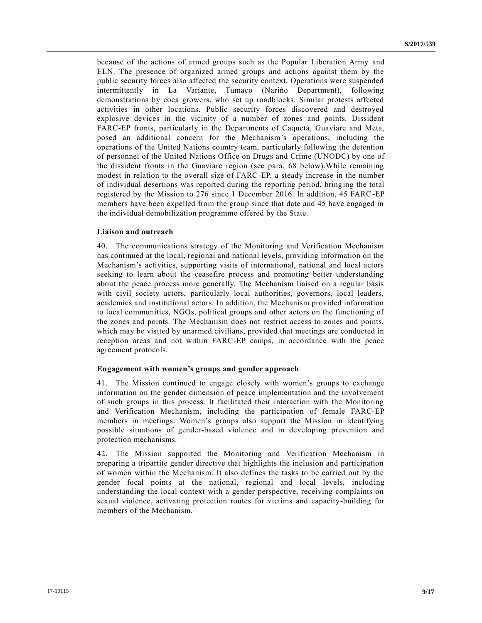because of the actions of armed groups such as the Popular Liberation Army and ELN. The presence of organized armed groups and actions against them by the public security forces also affected the security context. Operations were suspended intermittently in La Variante, Tumaco (Nariño Department), following demonstrations by coca growers, who set up roadblocks. Similar protests affected activities in other locations. Public security forces discovered and destroyed explosive devices in the vicinity of a number of zones and points. Dissident FARC-EP fronts, particularly in the Departments of Caquetá, Guaviare and Meta, posed an additional concern for the Mechanism's operations, including the operations of the United Nations country team, particularly following the detention of personnel of the United Nations Office on Drugs and Crime (UNODC) by one of the dissident fronts in the Guaviare region (see para. 68 below).While remaining modest in relation to the overall size of FARC-EP, a steady increase in the number of individual desertions was reported during the reporting period, bringing the total registered by the Mission to 276 since 1 December 2016. In addition, 45 FARC-EP members have been expelled from the group since that date and 45 have engaged in the individual demobilization programme offered by the State.

#### **Liaison and outreach**

40. The communications strategy of the Monitoring and Verification Mechanism has continued at the local, regional and national levels, providing information on the Mechanism's activities, supporting visits of international, national and local actors seeking to learn about the ceasefire process and promoting better understanding about the peace process more generally. The Mechanism liaised on a regular basis with civil society actors, particularly local authorities, governors, local leaders, academics and institutional actors. In addition, the Mechanism provided information to local communities, NGOs, political groups and other actors on the functioning of the zones and points. The Mechanism does not restrict access to zones and points, which may be visited by unarmed civilians, provided that meetings are conducted in reception areas and not within FARC-EP camps, in accordance with the peace agreement protocols.

#### **Engagement with women's groups and gender approach**

41. The Mission continued to engage closely with women's groups to exchange information on the gender dimension of peace implementation and the involvement of such groups in this process. It facilitated their interaction with the Monitoring and Verification Mechanism, including the participation of female FARC-EP members in meetings. Women's groups also support the Mission in identifying possible situations of gender-based violence and in developing prevention and protection mechanisms.

42. The Mission supported the Monitoring and Verification Mechanism in preparing a tripartite gender directive that highlights the inclusion and participation of women within the Mechanism. It also defines the tasks to be carried out by the gender focal points at the national, regional and local levels, including understanding the local context with a gender perspective, receiving complaints on sexual violence, activating protection routes for victims and capacity-building for members of the Mechanism.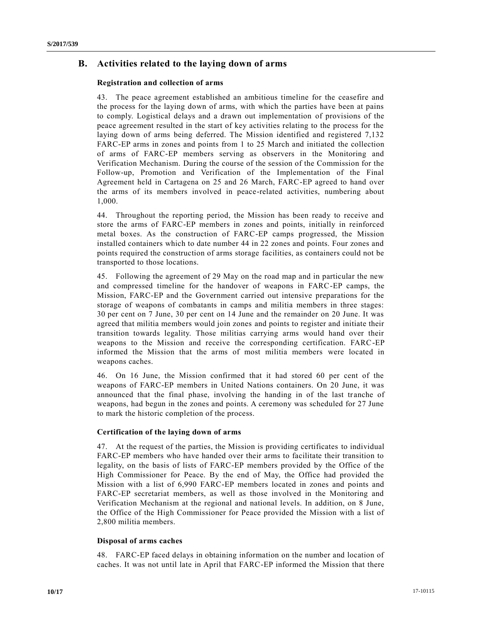## **B. Activities related to the laying down of arms**

### **Registration and collection of arms**

43. The peace agreement established an ambitious timeline for the ceasefire and the process for the laying down of arms, with which the parties have been at pains to comply. Logistical delays and a drawn out implementation of provisions of the peace agreement resulted in the start of key activities relating to the process for the laying down of arms being deferred. The Mission identified and registered 7,132 FARC-EP arms in zones and points from 1 to 25 March and initiated the collection of arms of FARC-EP members serving as observers in the Monitoring and Verification Mechanism. During the course of the session of the Commission for the Follow-up, Promotion and Verification of the Implementation of the Final Agreement held in Cartagena on 25 and 26 March, FARC-EP agreed to hand over the arms of its members involved in peace-related activities, numbering about 1,000.

44. Throughout the reporting period, the Mission has been ready to receive and store the arms of FARC-EP members in zones and points, initially in reinforced metal boxes. As the construction of FARC-EP camps progressed, the Mission installed containers which to date number 44 in 22 zones and points. Four zones and points required the construction of arms storage facilities, as containers could not be transported to those locations.

45. Following the agreement of 29 May on the road map and in particular the new and compressed timeline for the handover of weapons in FARC-EP camps, the Mission, FARC-EP and the Government carried out intensive preparations for the storage of weapons of combatants in camps and militia members in three stages: 30 per cent on 7 June, 30 per cent on 14 June and the remainder on 20 June. It was agreed that militia members would join zones and points to register and initiate their transition towards legality. Those militias carrying arms would hand over their weapons to the Mission and receive the corresponding certification. FARC-EP informed the Mission that the arms of most militia members were located in weapons caches.

46. On 16 June, the Mission confirmed that it had stored 60 per cent of the weapons of FARC-EP members in United Nations containers. On 20 June, it was announced that the final phase, involving the handing in of the last tranche of weapons, had begun in the zones and points. A ceremony was scheduled for 27 June to mark the historic completion of the process.

## **Certification of the laying down of arms**

47. At the request of the parties, the Mission is providing certificates to individual FARC-EP members who have handed over their arms to facilitate their transition to legality, on the basis of lists of FARC-EP members provided by the Office of the High Commissioner for Peace. By the end of May, the Office had provided the Mission with a list of 6,990 FARC-EP members located in zones and points and FARC-EP secretariat members, as well as those involved in the Monitoring and Verification Mechanism at the regional and national levels. In addition, on 8 June, the Office of the High Commissioner for Peace provided the Mission with a list of 2,800 militia members.

### **Disposal of arms caches**

48. FARC-EP faced delays in obtaining information on the number and location of caches. It was not until late in April that FARC-EP informed the Mission that there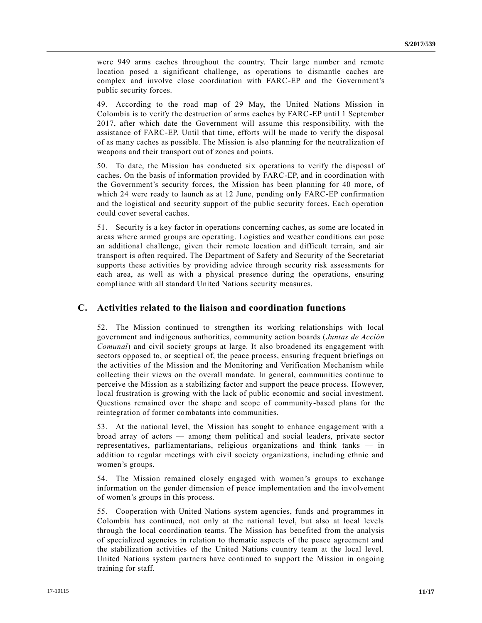were 949 arms caches throughout the country. Their large number and remote location posed a significant challenge, as operations to dismantle caches are complex and involve close coordination with FARC-EP and the Government's public security forces.

49. According to the road map of 29 May, the United Nations Mission in Colombia is to verify the destruction of arms caches by FARC-EP until 1 September 2017, after which date the Government will assume this responsibility, with the assistance of FARC-EP. Until that time, efforts will be made to verify the disposal of as many caches as possible. The Mission is also planning for the neutralization of weapons and their transport out of zones and points.

50. To date, the Mission has conducted six operations to verify the disposal of caches. On the basis of information provided by FARC-EP, and in coordination with the Government's security forces, the Mission has been planning for 40 more, of which 24 were ready to launch as at 12 June, pending only FARC-EP confirmation and the logistical and security support of the public security forces. Each operation could cover several caches.

51. Security is a key factor in operations concerning caches, as some are located in areas where armed groups are operating. Logistics and weather conditions can pose an additional challenge, given their remote location and difficult terrain, and air transport is often required. The Department of Safety and Security of the Secretariat supports these activities by providing advice through security risk assessments for each area, as well as with a physical presence during the operations, ensuring compliance with all standard United Nations security measures.

## **C. Activities related to the liaison and coordination functions**

52. The Mission continued to strengthen its working relationships with local government and indigenous authorities, community action boards ( *Juntas de Acción Comunal*) and civil society groups at large. It also broadened its engagement with sectors opposed to, or sceptical of, the peace process, ensuring frequent briefings on the activities of the Mission and the Monitoring and Verification Mechanism while collecting their views on the overall mandate. In general, communities continue to perceive the Mission as a stabilizing factor and support the peace process. However, local frustration is growing with the lack of public economic and social investment. Questions remained over the shape and scope of community-based plans for the reintegration of former combatants into communities.

53. At the national level, the Mission has sought to enhance engagement with a broad array of actors — among them political and social leaders, private sector representatives, parliamentarians, religious organizations and think tanks — in addition to regular meetings with civil society organizations, including ethnic and women's groups.

54. The Mission remained closely engaged with women's groups to exchange information on the gender dimension of peace implementation and the involvement of women's groups in this process.

55. Cooperation with United Nations system agencies, funds and programmes in Colombia has continued, not only at the national level, but also at local levels through the local coordination teams. The Mission has benefited from the analysis of specialized agencies in relation to thematic aspects of the peace agreement and the stabilization activities of the United Nations country team at the local level. United Nations system partners have continued to support the Mission in ongoing training for staff.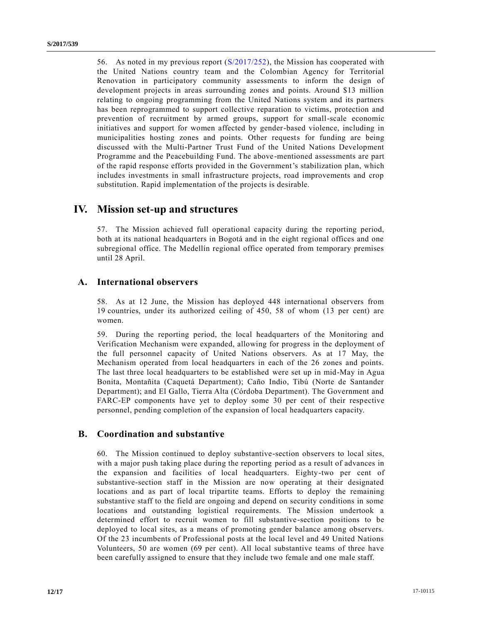56. As noted in my previous report [\(S/2017/252\)](https://undocs.org/S/2017/252), the Mission has cooperated with the United Nations country team and the Colombian Agency for Territorial Renovation in participatory community assessments to inform the design of development projects in areas surrounding zones and points. Around \$13 million relating to ongoing programming from the United Nations system and its partners has been reprogrammed to support collective reparation to victims, protection and prevention of recruitment by armed groups, support for small-scale economic initiatives and support for women affected by gender-based violence, including in municipalities hosting zones and points. Other requests for funding are being discussed with the Multi-Partner Trust Fund of the United Nations Development Programme and the Peacebuilding Fund. The above-mentioned assessments are part of the rapid response efforts provided in the Government's stabilization plan, which includes investments in small infrastructure projects, road improvements and crop substitution. Rapid implementation of the projects is desirable.

# **IV. Mission set-up and structures**

57. The Mission achieved full operational capacity during the reporting period, both at its national headquarters in Bogotá and in the eight regional offices and one subregional office. The Medellín regional office operated from temporary premises until 28 April.

# **A. International observers**

58. As at 12 June, the Mission has deployed 448 international observers from 19 countries, under its authorized ceiling of 450, 58 of whom (13 per cent) are women.

59. During the reporting period, the local headquarters of the Monitoring and Verification Mechanism were expanded, allowing for progress in the deployment of the full personnel capacity of United Nations observers. As at 17 May, the Mechanism operated from local headquarters in each of the 26 zones and points. The last three local headquarters to be established were set up in mid-May in Agua Bonita, Montañita (Caquetá Department); Caño Indio, Tibú (Norte de Santander Department); and El Gallo, Tierra Alta (Córdoba Department). The Government and FARC-EP components have yet to deploy some 30 per cent of their respective personnel, pending completion of the expansion of local headquarters capacity.

## **B. Coordination and substantive**

60. The Mission continued to deploy substantive-section observers to local sites, with a major push taking place during the reporting period as a result of advances in the expansion and facilities of local headquarters. Eighty-two per cent of substantive-section staff in the Mission are now operating at their designated locations and as part of local tripartite teams. Efforts to deploy the remaining substantive staff to the field are ongoing and depend on security conditions in some locations and outstanding logistical requirements. The Mission undertook a determined effort to recruit women to fill substantive-section positions to be deployed to local sites, as a means of promoting gender balance among observers. Of the 23 incumbents of Professional posts at the local level and 49 United Nations Volunteers, 50 are women (69 per cent). All local substantive teams of three have been carefully assigned to ensure that they include two female and one male staff.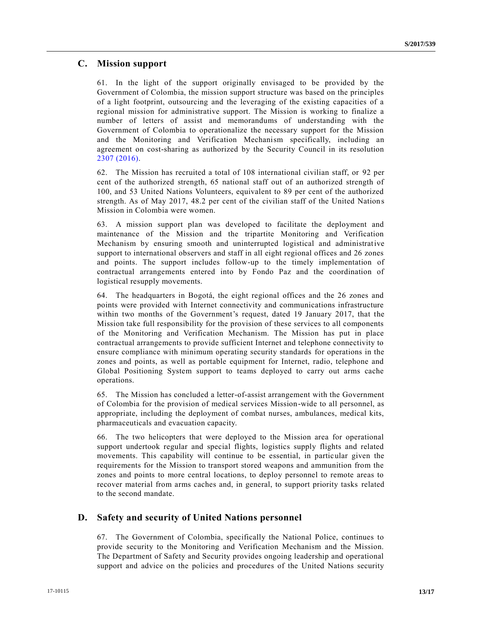## **C. Mission support**

61. In the light of the support originally envisaged to be provided by the Government of Colombia, the mission support structure was based on the principles of a light footprint, outsourcing and the leveraging of the existing capacities of a regional mission for administrative support. The Mission is working to finalize a number of letters of assist and memorandums of understanding with the Government of Colombia to operationalize the necessary support for the Mission and the Monitoring and Verification Mechanism specifically, including an agreement on cost-sharing as authorized by the Security Council in its resolution [2307 \(2016\).](https://undocs.org/S/RES/2307(2016))

62. The Mission has recruited a total of 108 international civilian staff, or 92 per cent of the authorized strength, 65 national staff out of an authorized strength of 100, and 53 United Nations Volunteers, equivalent to 89 per cent of the authorized strength. As of May 2017, 48.2 per cent of the civilian staff of the United Nation s Mission in Colombia were women.

63. A mission support plan was developed to facilitate the deployment and maintenance of the Mission and the tripartite Monitoring and Verification Mechanism by ensuring smooth and uninterrupted logistical and administrative support to international observers and staff in all eight regional offices and 26 zones and points. The support includes follow-up to the timely implementation of contractual arrangements entered into by Fondo Paz and the coordination of logistical resupply movements.

64. The headquarters in Bogotá, the eight regional offices and the 26 zones and points were provided with Internet connectivity and communications infrastructure within two months of the Government's request, dated 19 January 2017, that the Mission take full responsibility for the provision of these services to all components of the Monitoring and Verification Mechanism. The Mission has put in place contractual arrangements to provide sufficient Internet and telephone connectivity to ensure compliance with minimum operating security standards for operations in the zones and points, as well as portable equipment for Internet, radio, telephone and Global Positioning System support to teams deployed to carry out arms cache operations.

65. The Mission has concluded a letter-of-assist arrangement with the Government of Colombia for the provision of medical services Mission-wide to all personnel, as appropriate, including the deployment of combat nurses, ambulances, medical kits, pharmaceuticals and evacuation capacity.

66. The two helicopters that were deployed to the Mission area for operational support undertook regular and special flights, logistics supply flights and related movements. This capability will continue to be essential, in particular given the requirements for the Mission to transport stored weapons and ammunition from the zones and points to more central locations, to deploy personnel to remote areas to recover material from arms caches and, in general, to support priority tasks related to the second mandate.

# **D. Safety and security of United Nations personnel**

67. The Government of Colombia, specifically the National Police, continues to provide security to the Monitoring and Verification Mechanism and the Mission. The Department of Safety and Security provides ongoing leadership and operational support and advice on the policies and procedures of the United Nations security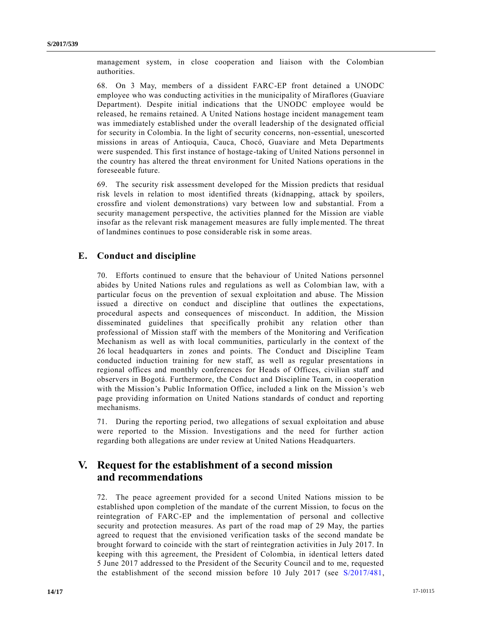management system, in close cooperation and liaison with the Colombian authorities.

68. On 3 May, members of a dissident FARC-EP front detained a UNODC employee who was conducting activities in the municipality of Miraflores (Guaviare Department). Despite initial indications that the UNODC employee would be released, he remains retained. A United Nations hostage incident management team was immediately established under the overall leadership of the designated official for security in Colombia. In the light of security concerns, non-essential, unescorted missions in areas of Antioquia, Cauca, Chocó, Guaviare and Meta Departments were suspended. This first instance of hostage-taking of United Nations personnel in the country has altered the threat environment for United Nations operations in the foreseeable future.

69. The security risk assessment developed for the Mission predicts that residual risk levels in relation to most identified threats (kidnapping, attack by spoilers, crossfire and violent demonstrations) vary between low and substantial. From a security management perspective, the activities planned for the Mission are viable insofar as the relevant risk management measures are fully implemented. The threat of landmines continues to pose considerable risk in some areas.

## **E. Conduct and discipline**

70. Efforts continued to ensure that the behaviour of United Nations personnel abides by United Nations rules and regulations as well as Colombian law, with a particular focus on the prevention of sexual exploitation and abuse. The Mission issued a directive on conduct and discipline that outlines the expectations, procedural aspects and consequences of misconduct. In addition, the Mission disseminated guidelines that specifically prohibit any relation other than professional of Mission staff with the members of the Monitoring and Verification Mechanism as well as with local communities, particularly in the context of the 26 local headquarters in zones and points. The Conduct and Discipline Team conducted induction training for new staff, as well as regular presentations in regional offices and monthly conferences for Heads of Offices, civilian staff and observers in Bogotá. Furthermore, the Conduct and Discipline Team, in cooperation with the Mission's Public Information Office, included a link on the Mission's web page providing information on United Nations standards of conduct and reporting mechanisms.

71. During the reporting period, two allegations of sexual exploitation and abuse were reported to the Mission. Investigations and the need for further action regarding both allegations are under review at United Nations Headquarters.

# **V. Request for the establishment of a second mission and recommendations**

72. The peace agreement provided for a second United Nations mission to be established upon completion of the mandate of the current Mission, to focus on the reintegration of FARC-EP and the implementation of personal and collective security and protection measures. As part of the road map of 29 May, the parties agreed to request that the envisioned verification tasks of the second mandate be brought forward to coincide with the start of reintegration activities in July 2017. In keeping with this agreement, the President of Colombia, in identical letters dated 5 June 2017 addressed to the President of the Security Council and to me, requested the establishment of the second mission before 10 July 2017 (see [S/2017/481,](https://undocs.org/S/2017/481)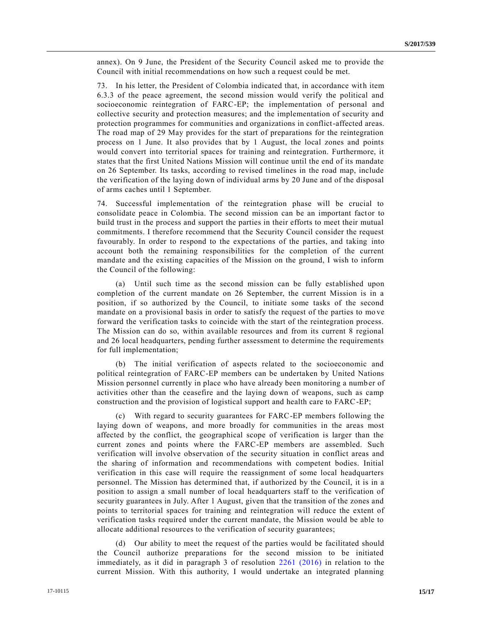annex). On 9 June, the President of the Security Council asked me to provide the Council with initial recommendations on how such a request could be met.

73. In his letter, the President of Colombia indicated that, in accordance with item 6.3.3 of the peace agreement, the second mission would verify the political and socioeconomic reintegration of FARC-EP; the implementation of personal and collective security and protection measures; and the implementation of security and protection programmes for communities and organizations in conflict-affected areas. The road map of 29 May provides for the start of preparations for the reintegration process on 1 June. It also provides that by 1 August, the local zones and points would convert into territorial spaces for training and reintegration. Furthermore, it states that the first United Nations Mission will continue until the end of its mandate on 26 September. Its tasks, according to revised timelines in the road map, include the verification of the laying down of individual arms by 20 June and of the disposal of arms caches until 1 September.

74. Successful implementation of the reintegration phase will be crucial to consolidate peace in Colombia. The second mission can be an important factor to build trust in the process and support the parties in their efforts to meet their mutual commitments. I therefore recommend that the Security Council consider the request favourably. In order to respond to the expectations of the parties, and taking into account both the remaining responsibilities for the completion of the current mandate and the existing capacities of the Mission on the ground, I wish to inform the Council of the following:

(a) Until such time as the second mission can be fully established upon completion of the current mandate on 26 September, the current Mission is in a position, if so authorized by the Council, to initiate some tasks of the second mandate on a provisional basis in order to satisfy the request of the parties to mo ve forward the verification tasks to coincide with the start of the reintegration process. The Mission can do so, within available resources and from its current 8 regional and 26 local headquarters, pending further assessment to determine the requirements for full implementation;

(b) The initial verification of aspects related to the socioeconomic and political reintegration of FARC-EP members can be undertaken by United Nations Mission personnel currently in place who have already been monitoring a numb er of activities other than the ceasefire and the laying down of weapons, such as camp construction and the provision of logistical support and health care to FARC-EP;

(c) With regard to security guarantees for FARC-EP members following the laying down of weapons, and more broadly for communities in the areas most affected by the conflict, the geographical scope of verification is larger than the current zones and points where the FARC-EP members are assembled. Such verification will involve observation of the security situation in conflict areas and the sharing of information and recommendations with competent bodies. Initial verification in this case will require the reassignment of some local headquarters personnel. The Mission has determined that, if authorized by the Council, it is in a position to assign a small number of local headquarters staff to the verification of security guarantees in July. After 1 August, given that the transition of the zones and points to territorial spaces for training and reintegration will reduce the extent of verification tasks required under the current mandate, the Mission would be able to allocate additional resources to the verification of security guarantees;

(d) Our ability to meet the request of the parties would be facilitated should the Council authorize preparations for the second mission to be initiated immediately, as it did in paragraph 3 of resolution [2261 \(2016\)](https://undocs.org/S/RES/2261(2016)) in relation to the current Mission. With this authority, I would undertake an integrated planning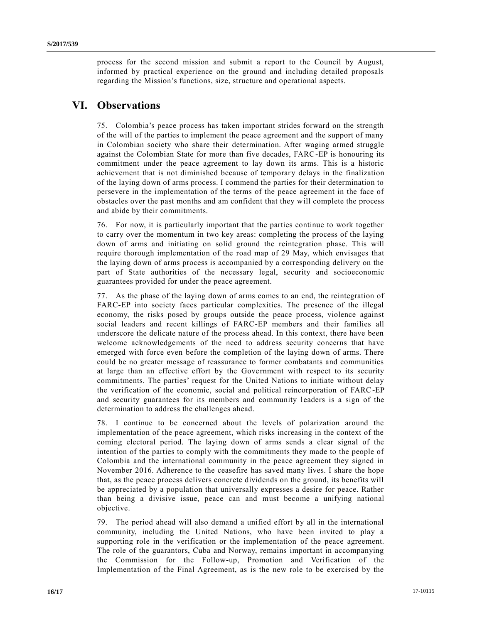process for the second mission and submit a report to the Council by August, informed by practical experience on the ground and including detailed proposals regarding the Mission's functions, size, structure and operational aspects.

# **VI. Observations**

75. Colombia's peace process has taken important strides forward on the strength of the will of the parties to implement the peace agreement and the support of many in Colombian society who share their determination. After waging armed struggle against the Colombian State for more than five decades, FARC-EP is honouring its commitment under the peace agreement to lay down its arms. This is a historic achievement that is not diminished because of temporary delays in the finalization of the laying down of arms process. I commend the parties for their determination to persevere in the implementation of the terms of the peace agreement in the face of obstacles over the past months and am confident that they will complete the process and abide by their commitments.

76. For now, it is particularly important that the parties continue to work together to carry over the momentum in two key areas: completing the process of the laying down of arms and initiating on solid ground the reintegration phase. This will require thorough implementation of the road map of 29 May, which envisages that the laying down of arms process is accompanied by a corresponding delivery on the part of State authorities of the necessary legal, security and socioeconomic guarantees provided for under the peace agreement.

77. As the phase of the laying down of arms comes to an end, the reintegration of FARC-EP into society faces particular complexities. The presence of the illegal economy, the risks posed by groups outside the peace process, violence against social leaders and recent killings of FARC-EP members and their families all underscore the delicate nature of the process ahead. In this context, there have been welcome acknowledgements of the need to address security concerns that have emerged with force even before the completion of the laying down of arms. There could be no greater message of reassurance to former combatants and communities at large than an effective effort by the Government with respect to its security commitments. The parties' request for the United Nations to initiate without delay the verification of the economic, social and political reincorporation of FARC-EP and security guarantees for its members and community leaders is a sign of the determination to address the challenges ahead.

78. I continue to be concerned about the levels of polarization around the implementation of the peace agreement, which risks increasing in the context of the coming electoral period. The laying down of arms sends a clear signal of the intention of the parties to comply with the commitments they made to the people of Colombia and the international community in the peace agreement they signed in November 2016. Adherence to the ceasefire has saved many lives. I share the hope that, as the peace process delivers concrete dividends on the ground, its benefits will be appreciated by a population that universally expresses a desire for peace. Rather than being a divisive issue, peace can and must become a unifying national objective.

79. The period ahead will also demand a unified effort by all in the international community, including the United Nations, who have been invited to play a supporting role in the verification or the implementation of the peace agreement. The role of the guarantors, Cuba and Norway, remains important in accompanying the Commission for the Follow-up, Promotion and Verification of the Implementation of the Final Agreement, as is the new role to be exercised by the